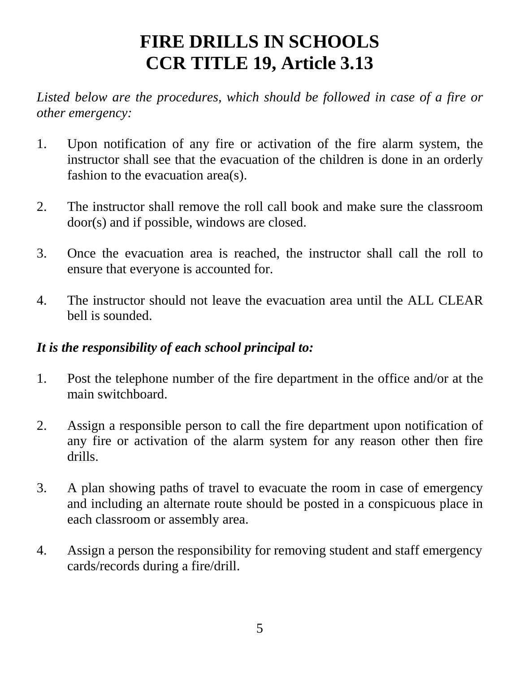# **FIRE DRILLS IN SCHOOLS CCR TITLE 19, Article 3.13**

Listed below are the procedures, which should be followed in case of a fire or *other emergency:* 

- 1. Upon notification of any fire or activation of the fire alarm system, the instructor shall see that the evacuation of the children is done in an orderly fashion to the evacuation area(s).
- 2. The instructor shall remove the roll call book and make sure the classroom door(s) and if possible, windows are closed.
- 3. Once the evacuation area is reached, the instructor shall call the roll to ensure that everyone is accounted for.
- 4. The instructor should not leave the evacuation area until the ALL CLEAR bell is sounded.

## *It is the responsibility of each school principal to:*

- 1. Post the telephone number of the fire department in the office and/or at the main switchboard.
- 2. Assign a responsible person to call the fire department upon notification of any fire or activation of the alarm system for any reason other then fire drills.
- 3. A plan showing paths of travel to evacuate the room in case of emergency and including an alternate route should be posted in a conspicuous place in each classroom or assembly area.
- 4. Assign a person the responsibility for removing student and staff emergency cards/records during a fire/drill.